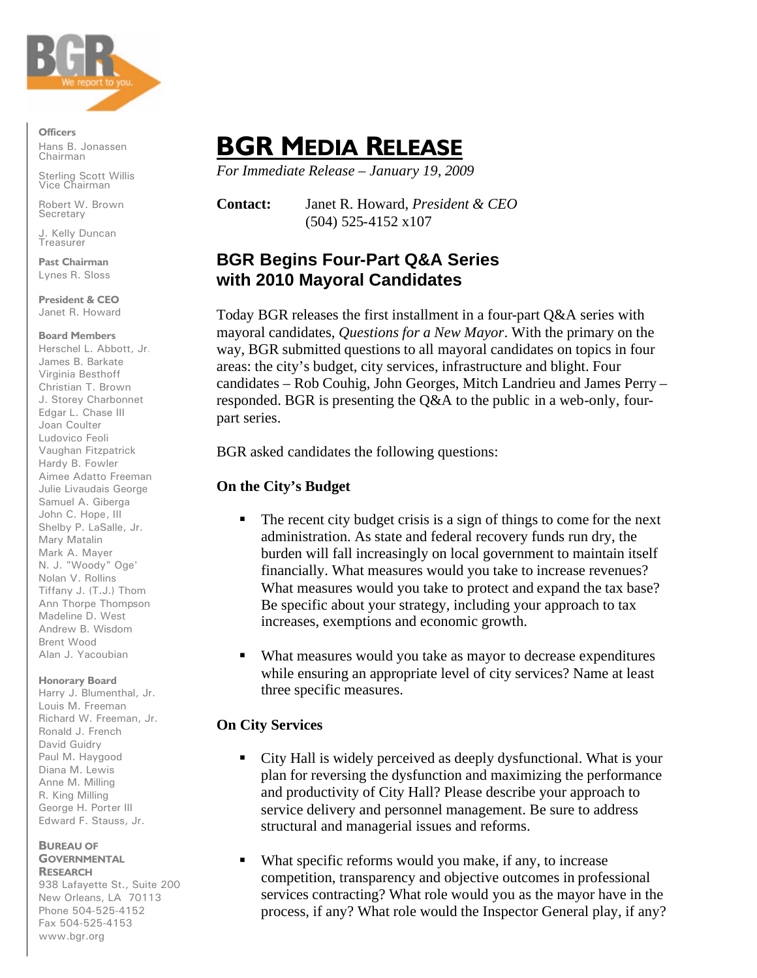

**Officers** Hans B. Jonassen Chairman

Sterling Scott Willis Vice Chairman

Robert W. Brown **Secretary** 

J. Kelly Duncan **Treasurer** 

**Past Chairman** Lynes R. Sloss

**President & CEO** Janet R. Howard

### **Board Members**

Herschel L. Abbott, Jr. James B. Barkate Virginia Besthoff Christian T. Brown J. Storey Charbonnet Edgar L. Chase III Joan Coulter Ludovico Feoli Vaughan Fitzpatrick Hardy B. Fowler Aimee Adatto Freeman Julie Livaudais George Samuel A. Giberga John C. Hope, III Shelby P. LaSalle, Jr. Mary Matalin Mark A. Mayer N. J. "Woody" Oge' Nolan V. Rollins Tiffany J. (T.J.) Thom Ann Thorpe Thompson Madeline D. West Andrew B. Wisdom Brent Wood Alan J. Yacoubian

### **Honorary Board**

Harry J. Blumenthal, Jr. Louis M. Freeman Richard W. Freeman, Jr. Ronald J. French David Guidry Paul M. Haygood Diana M. Lewis Anne M. Milling R. King Milling George H. Porter III Edward F. Stauss, Jr.

#### **BUREAU OF GOVERNMENTAL RESEARCH**

938 Lafayette St., Suite 200 New Orleans, LA 70113 Phone 504-525-4152 Fax 504-525-4153 www.bgr.org

# **BGR MEDIA RELEASE**

*For Immediate Release – January 19, 2009*

**Contact:** Janet R. Howard, *President & CEO* (504) 525-4152 x107

# **BGR Begins Four-Part Q&A Series with 2010 Mayoral Candidates**

Today BGR releases the first installment in a four-part Q&A series with mayoral candidates, *Questions for a New Mayor*. With the primary on the way, BGR submitted questions to all mayoral candidates on topics in four areas: the city's budget, city services, infrastructure and blight. Four candidates – Rob Couhig, John Georges, Mitch Landrieu and James Perry – responded. BGR is presenting the Q&A to the public in a web-only, fourpart series.

BGR asked candidates the following questions:

# **On the City's Budget**

- ß The recent city budget crisis is a sign of things to come for the next administration. As state and federal recovery funds run dry, the burden will fall increasingly on local government to maintain itself financially. What measures would you take to increase revenues? What measures would you take to protect and expand the tax base? Be specific about your strategy, including your approach to tax increases, exemptions and economic growth.
- What measures would you take as mayor to decrease expenditures while ensuring an appropriate level of city services? Name at least three specific measures.

## **On City Services**

- ß City Hall is widely perceived as deeply dysfunctional. What is your plan for reversing the dysfunction and maximizing the performance and productivity of City Hall? Please describe your approach to service delivery and personnel management. Be sure to address structural and managerial issues and reforms.
- What specific reforms would you make, if any, to increase competition, transparency and objective outcomes in professional services contracting? What role would you as the mayor have in the process, if any? What role would the Inspector General play, if any?